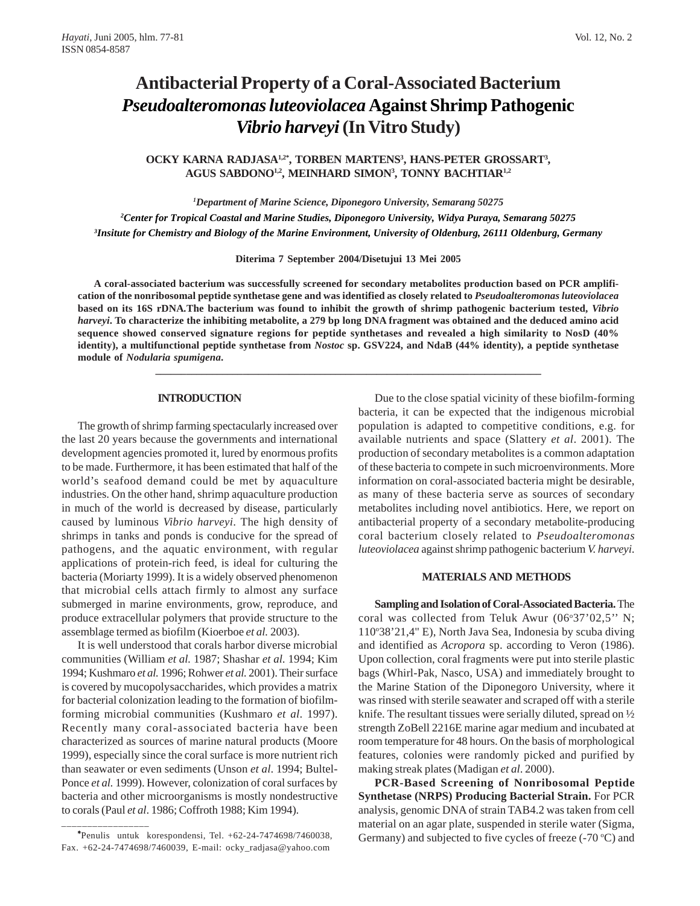# **Antibacterial Property of a Coral-Associated Bacterium** *Pseudoalteromonas luteoviolacea* **Against Shrimp Pathogenic** *Vibrio harveyi* **(In Vitro Study)**

OCKY KARNA RADJASA<sup>1,2\*</sup>, TORBEN MARTENS<sup>3</sup>, HANS-PETER GROSSART<sup>3</sup>, **AGUS SABDONO1,2, MEINHARD SIMON3 , TONNY BACHTIAR1,2**

*1 Department of Marine Science, Diponegoro University, Semarang 50275 2 Center for Tropical Coastal and Marine Studies, Diponegoro University, Widya Puraya, Semarang 50275 3 Insitute for Chemistry and Biology of the Marine Environment, University of Oldenburg, 26111 Oldenburg, Germany*

**Diterima 7 September 2004/Disetujui 13 Mei 2005**

**A coral-associated bacterium was successfully screened for secondary metabolites production based on PCR amplification of the nonribosomal peptide synthetase gene and was identified as closely related to** *Pseudoalteromonas luteoviolacea* **based on its 16S rDNA***.***The bacterium was found to inhibit the growth of shrimp pathogenic bacterium tested,** *Vibrio harveyi***. To characterize the inhibiting metabolite, a 279 bp long DNA fragment was obtained and the deduced amino acid sequence showed conserved signature regions for peptide synthetases and revealed a high similarity to NosD (40% identity), a multifunctional peptide synthetase from** *Nostoc* **sp. GSV224, and NdaB (44% identity), a peptide synthetase module of** *Nodularia spumigena***.**

**\_\_\_\_\_\_\_\_\_\_\_\_\_\_\_\_\_\_\_\_\_\_\_\_\_\_\_\_\_\_\_\_\_\_\_\_\_\_\_\_\_\_\_\_\_\_\_\_\_\_\_\_\_\_\_\_\_\_\_\_\_\_\_\_\_\_\_\_\_\_\_\_\_\_\_**

#### **INTRODUCTION**

The growth of shrimp farming spectacularly increased over the last 20 years because the governments and international development agencies promoted it, lured by enormous profits to be made. Furthermore, it has been estimated that half of the world's seafood demand could be met by aquaculture industries. On the other hand, shrimp aquaculture production in much of the world is decreased by disease, particularly caused by luminous *Vibrio harveyi*. The high density of shrimps in tanks and ponds is conducive for the spread of pathogens, and the aquatic environment, with regular applications of protein-rich feed, is ideal for culturing the bacteria (Moriarty 1999). It is a widely observed phenomenon that microbial cells attach firmly to almost any surface submerged in marine environments, grow, reproduce, and produce extracellular polymers that provide structure to the assemblage termed as biofilm (Kioerboe *et al.* 2003).

It is well understood that corals harbor diverse microbial communities (William *et al.* 1987; Shashar *et al.* 1994; Kim 1994; Kushmaro *et al.* 1996; Rohwer *et al.* 2001). Their surface is covered by mucopolysaccharides, which provides a matrix for bacterial colonization leading to the formation of biofilmforming microbial communities (Kushmaro *et al*. 1997). Recently many coral-associated bacteria have been characterized as sources of marine natural products (Moore 1999), especially since the coral surface is more nutrient rich than seawater or even sediments (Unson *et al*. 1994; Bultel-Ponce *et al.* 1999). However, colonization of coral surfaces by bacteria and other microorganisms is mostly nondestructive to corals (Paul *et al*. 1986; Coffroth 1988; Kim 1994).

∗ Penulis untuk korespondensi, Tel. +62-24-7474698/7460038, Fax. +62-24-7474698/7460039, E-mail: ocky\_radjasa@yahoo.com

\_\_\_\_\_\_\_\_\_\_\_\_\_\_\_\_\_\_\_\_

Due to the close spatial vicinity of these biofilm-forming bacteria, it can be expected that the indigenous microbial population is adapted to competitive conditions, e.g. for available nutrients and space (Slattery *et al*. 2001). The production of secondary metabolites is a common adaptation of these bacteria to compete in such microenvironments. More information on coral-associated bacteria might be desirable, as many of these bacteria serve as sources of secondary metabolites including novel antibiotics. Here, we report on antibacterial property of a secondary metabolite-producing coral bacterium closely related to *Pseudoalteromonas luteoviolacea* against shrimp pathogenic bacterium *V. harveyi*.

### **MATERIALS AND METHODS**

**Sampling and Isolation of Coral-Associated Bacteria.** The coral was collected from Teluk Awur (06°37'02,5" N; 110°38'21,4" E), North Java Sea, Indonesia by scuba diving and identified as *Acropora* sp. according to Veron (1986). Upon collection, coral fragments were put into sterile plastic bags (Whirl-Pak, Nasco, USA) and immediately brought to the Marine Station of the Diponegoro University, where it was rinsed with sterile seawater and scraped off with a sterile knife. The resultant tissues were serially diluted, spread on ½ strength ZoBell 2216E marine agar medium and incubated at room temperature for 48 hours. On the basis of morphological features, colonies were randomly picked and purified by making streak plates (Madigan *et al*. 2000).

**PCR-Based Screening of Nonribosomal Peptide Synthetase (NRPS) Producing Bacterial Strain.** For PCR analysis, genomic DNA of strain TAB4.2 was taken from cell material on an agar plate, suspended in sterile water (Sigma, Germany) and subjected to five cycles of freeze  $(-70 \degree C)$  and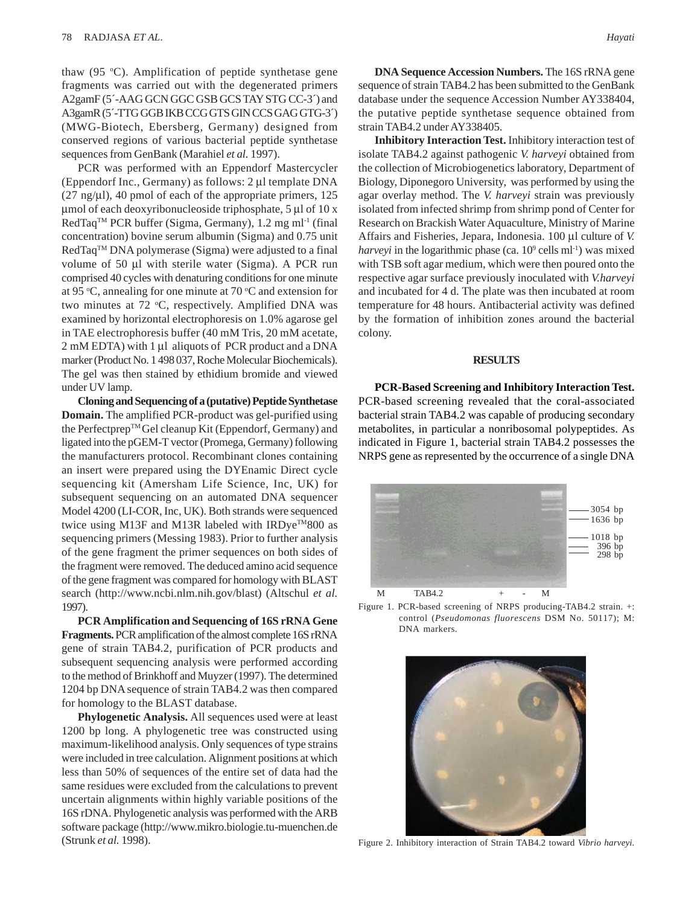thaw (95 °C). Amplification of peptide synthetase gene fragments was carried out with the degenerated primers A2gamF (5'-AAG GCN GGC GSB GCS TAY STG CC-3') and A3gamR (5´-TTG GGB IKB CCG GTS GIN CCS GAG GTG-3´) (MWG-Biotech, Ebersberg, Germany) designed from conserved regions of various bacterial peptide synthetase sequences from GenBank (Marahiel *et al.* 1997).

PCR was performed with an Eppendorf Mastercycler (Eppendorf Inc., Germany) as follows: 2 μl template DNA (27 ng/μl), 40 pmol of each of the appropriate primers, 125 μmol of each deoxyribonucleoside triphosphate, 5 μl of 10 x  $RedTaq^{TM}$  PCR buffer (Sigma, Germany), 1.2 mg ml<sup>-1</sup> (final concentration) bovine serum albumin (Sigma) and 0.75 unit RedTaq™ DNA polymerase (Sigma) were adjusted to a final volume of 50 μl with sterile water (Sigma). A PCR run comprised 40 cycles with denaturing conditions for one minute at 95 °C, annealing for one minute at 70 °C and extension for two minutes at 72 °C, respectively. Amplified DNA was examined by horizontal electrophoresis on 1.0% agarose gel in TAE electrophoresis buffer (40 mM Tris, 20 mM acetate, 2 mM EDTA) with 1 μl aliquots of PCR product and a DNA marker (Product No. 1 498 037, Roche Molecular Biochemicals). The gel was then stained by ethidium bromide and viewed under UV lamp.

**Cloning and Sequencing of a (putative) Peptide Synthetase Domain.** The amplified PCR-product was gel-purified using the Perfectprep<sup>™</sup>Gel cleanup Kit (Eppendorf, Germany) and ligated into the pGEM-T vector (Promega, Germany) following the manufacturers protocol. Recombinant clones containing an insert were prepared using the DYEnamic Direct cycle sequencing kit (Amersham Life Science, Inc, UK) for subsequent sequencing on an automated DNA sequencer Model 4200 (LI-COR, Inc, UK). Both strands were sequenced twice using M13F and M13R labeled with IRDye<sup>TM</sup>800 as sequencing primers (Messing 1983). Prior to further analysis of the gene fragment the primer sequences on both sides of the fragment were removed. The deduced amino acid sequence of the gene fragment was compared for homology with BLAST search (http://www.ncbi.nlm.nih.gov/blast) (Altschul *et al.* 1997).

**PCR Amplification and Sequencing of 16S rRNA Gene Fragments.** PCR amplification of the almost complete 16S rRNA gene of strain TAB4.2, purification of PCR products and subsequent sequencing analysis were performed according to the method of Brinkhoff and Muyzer (1997). The determined 1204 bp DNA sequence of strain TAB4.2 was then compared for homology to the BLAST database.

**Phylogenetic Analysis.** All sequences used were at least 1200 bp long. A phylogenetic tree was constructed using maximum-likelihood analysis. Only sequences of type strains were included in tree calculation. Alignment positions at which less than 50% of sequences of the entire set of data had the same residues were excluded from the calculations to prevent uncertain alignments within highly variable positions of the 16S rDNA. Phylogenetic analysis was performed with the ARB software package (http://www.mikro.biologie.tu-muenchen.de (Strunk *et al.* 1998).

**DNA Sequence Accession Numbers.** The 16S rRNA gene sequence of strain TAB4.2 has been submitted to the GenBank database under the sequence Accession Number AY338404, the putative peptide synthetase sequence obtained from strain TAB4.2 under AY338405.

**Inhibitory Interaction Test.** Inhibitory interaction test of isolate TAB4.2 against pathogenic *V. harveyi* obtained from the collection of Microbiogenetics laboratory, Department of Biology, Diponegoro University, was performed by using the agar overlay method. The *V. harveyi* strain was previously isolated from infected shrimp from shrimp pond of Center for Research on Brackish Water Aquaculture, Ministry of Marine Affairs and Fisheries, Jepara, Indonesia. 100 μl culture of *V.* harveyi in the logarithmic phase (ca. 10<sup>9</sup> cells ml<sup>-1</sup>) was mixed with TSB soft agar medium, which were then poured onto the respective agar surface previously inoculated with *V.harveyi* and incubated for 4 d. The plate was then incubated at room temperature for 48 hours. Antibacterial activity was defined by the formation of inhibition zones around the bacterial colony.

### **RESULTS**

**PCR-Based Screening and Inhibitory Interaction Test.** PCR-based screening revealed that the coral-associated bacterial strain TAB4.2 was capable of producing secondary metabolites, in particular a nonribosomal polypeptides. As indicated in Figure 1, bacterial strain TAB4.2 possesses the NRPS gene as represented by the occurrence of a single DNA



Figure 1. PCR-based screening of NRPS producing-TAB4.2 strain. +: control (*Pseudomonas fluorescens* DSM No. 50117); M: DNA markers.



Figure 2. Inhibitory interaction of Strain TAB4.2 toward *Vibrio harveyi.*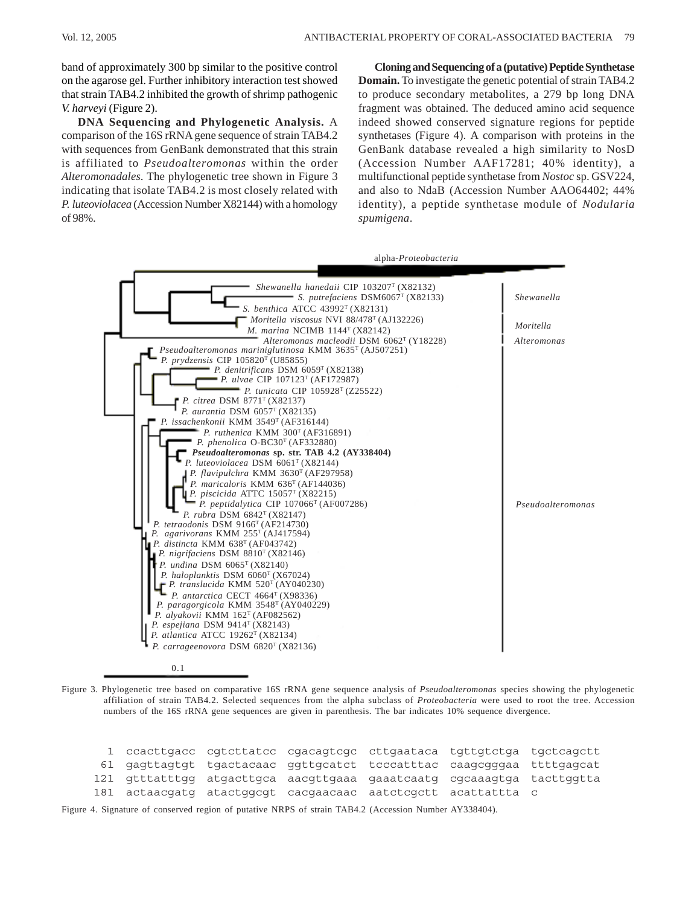band of approximately 300 bp similar to the positive control on the agarose gel. Further inhibitory interaction test showed that strain TAB4.2 inhibited the growth of shrimp pathogenic *V. harveyi* (Figure 2).

**DNA Sequencing and Phylogenetic Analysis.** A comparison of the 16S rRNA gene sequence of strain TAB4.2 with sequences from GenBank demonstrated that this strain is affiliated to *Pseudoalteromonas* within the order *Alteromonadales*. The phylogenetic tree shown in Figure 3 indicating that isolate TAB4.2 is most closely related with *P. luteoviolacea* (Accession Number X82144) with a homology of 98%.

**Cloning and Sequencing of a (putative) Peptide Synthetase Domain.** To investigate the genetic potential of strain TAB4.2 to produce secondary metabolites, a 279 bp long DNA fragment was obtained. The deduced amino acid sequence indeed showed conserved signature regions for peptide synthetases (Figure 4). A comparison with proteins in the GenBank database revealed a high similarity to NosD (Accession Number AAF17281; 40% identity), a multifunctional peptide synthetase from *Nostoc* sp. GSV224, and also to NdaB (Accession Number AAO64402; 44% identity), a peptide synthetase module of *Nodularia spumigena*.



0.1

Figure 3. Phylogenetic tree based on comparative 16S rRNA gene sequence analysis of *Pseudoalteromonas* species showing the phylogenetic affiliation of strain TAB4.2. Selected sequences from the alpha subclass of *Proteobacteria* were used to root the tree. Accession numbers of the 16S rRNA gene sequences are given in parenthesis. The bar indicates 10% sequence divergence.

|  |  | 1 ccacttgacc cgtcttatcc cgacagtcgc cttgaataca tgttgtctga tgctcagctt   |  |
|--|--|-----------------------------------------------------------------------|--|
|  |  | 61 gagttagtgt tgactacaac ggttgcatct tcccatttac caagcgggaa ttttgagcat  |  |
|  |  | 121 gtttatttgg atgacttgca aacgttgaaa gaaatcaatg cgcaaagtga tacttggtta |  |
|  |  | 181 actaacgatg atactggcgt cacgaacaac aatctcgctt acattattta c          |  |

Figure 4. Signature of conserved region of putative NRPS of strain TAB4.2 (Accession Number AY338404).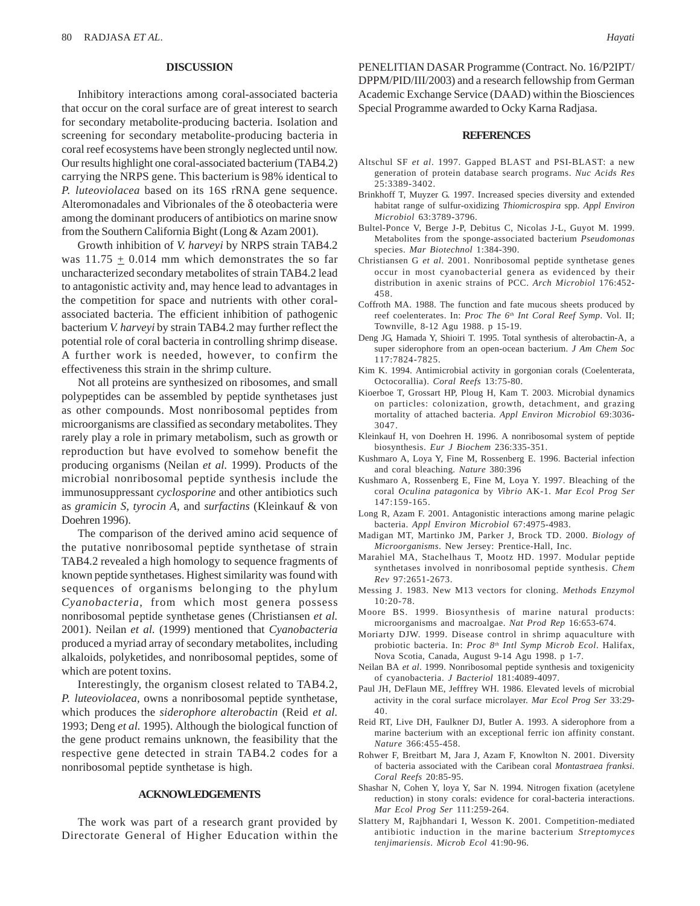### **DISCUSSION**

Inhibitory interactions among coral-associated bacteria that occur on the coral surface are of great interest to search for secondary metabolite-producing bacteria. Isolation and screening for secondary metabolite-producing bacteria in coral reef ecosystems have been strongly neglected until now. Our results highlight one coral-associated bacterium (TAB4.2) carrying the NRPS gene. This bacterium is 98% identical to *P. luteoviolacea* based on its 16S rRNA gene sequence. Alteromonadales and Vibrionales of the δ oteobacteria were among the dominant producers of antibiotics on marine snow from the Southern California Bight (Long & Azam 2001).

Growth inhibition of *V. harveyi* by NRPS strain TAB4.2 was  $11.75 + 0.014$  mm which demonstrates the so far uncharacterized secondary metabolites of strain TAB4.2 lead to antagonistic activity and, may hence lead to advantages in the competition for space and nutrients with other coralassociated bacteria. The efficient inhibition of pathogenic bacterium *V. harveyi* by strain TAB4.2 may further reflect the potential role of coral bacteria in controlling shrimp disease. A further work is needed, however, to confirm the effectiveness this strain in the shrimp culture.

Not all proteins are synthesized on ribosomes, and small polypeptides can be assembled by peptide synthetases just as other compounds. Most nonribosomal peptides from microorganisms are classified as secondary metabolites. They rarely play a role in primary metabolism, such as growth or reproduction but have evolved to somehow benefit the producing organisms (Neilan *et al.* 1999). Products of the microbial nonribosomal peptide synthesis include the immunosuppressant *cyclosporine* and other antibiotics such as *gramicin S, tyrocin A,* and *surfactins* (Kleinkauf & von Doehren 1996).

The comparison of the derived amino acid sequence of the putative nonribosomal peptide synthetase of strain TAB4.2 revealed a high homology to sequence fragments of known peptide synthetases. Highest similarity was found with sequences of organisms belonging to the phylum *Cyanobacteria*, from which most genera possess nonribosomal peptide synthetase genes (Christiansen *et al.* 2001). Neilan *et al.* (1999) mentioned that *Cyanobacteria* produced a myriad array of secondary metabolites, including alkaloids, polyketides, and nonribosomal peptides, some of which are potent toxins.

Interestingly, the organism closest related to TAB4.2, *P. luteoviolacea,* owns a nonribosomal peptide synthetase, which produces the *siderophore alterobactin* (Reid *et al.* 1993; Deng *et al.* 1995). Although the biological function of the gene product remains unknown, the feasibility that the respective gene detected in strain TAB4.2 codes for a nonribosomal peptide synthetase is high.

## **ACKNOWLEDGEMENTS**

The work was part of a research grant provided by Directorate General of Higher Education within the PENELITIAN DASAR Programme (Contract. No. 16/P2IPT/ DPPM/PID/III/2003) and a research fellowship from German Academic Exchange Service (DAAD) within the Biosciences Special Programme awarded to Ocky Karna Radjasa.

#### **REFERENCES**

- Altschul SF *et al*. 1997. Gapped BLAST and PSI-BLAST: a new generation of protein database search programs. *Nuc Acids Res* 25:3389-3402.
- Brinkhoff T, Muyzer G. 1997. Increased species diversity and extended habitat range of sulfur-oxidizing *Thiomicrospira* spp*. Appl Environ Microbiol* 63:3789-3796.
- Bultel-Ponce V, Berge J-P, Debitus C, Nicolas J-L, Guyot M. 1999. Metabolites from the sponge-associated bacterium *Pseudomonas* species. *Mar Biotechnol* 1:384-390.
- Christiansen G *et al*. 2001. Nonribosomal peptide synthetase genes occur in most cyanobacterial genera as evidenced by their distribution in axenic strains of PCC. *Arch Microbiol* 176:452- 458.
- Coffroth MA. 1988. The function and fate mucous sheets produced by reef coelenterates. In: *Proc The 6th Int Coral Reef Symp*. Vol. II; Townville, 8-12 Agu 1988. p 15-19.
- Deng JG, Hamada Y, Shioiri T. 1995. Total synthesis of alterobactin-A, a super siderophore from an open-ocean bacterium. *J Am Chem Soc* 117:7824-7825.
- Kim K. 1994. Antimicrobial activity in gorgonian corals (Coelenterata, Octocorallia). *Coral Reefs* 13:75-80.
- Kioerboe T, Grossart HP, Ploug H, Kam T. 2003. Microbial dynamics on particles: colonization, growth, detachment, and grazing mortality of attached bacteria. *Appl Environ Microbiol* 69:3036- 3047.
- Kleinkauf H, von Doehren H. 1996. A nonribosomal system of peptide biosynthesis. *Eur J Biochem* 236:335-351.
- Kushmaro A, Loya Y, Fine M, Rossenberg E. 1996. Bacterial infection and coral bleaching. *Nature* 380:396
- Kushmaro A, Rossenberg E, Fine M, Loya Y. 1997. Bleaching of the coral *Oculina patagonica* by *Vibrio* AK-1. *Mar Ecol Prog Ser* 147:159-165.
- Long R, Azam F. 2001. Antagonistic interactions among marine pelagic bacteria. *Appl Environ Microbiol* 67:4975-4983.
- Madigan MT, Martinko JM, Parker J, Brock TD. 2000. *Biology of Microorganisms*. New Jersey: Prentice-Hall, Inc.
- Marahiel MA, Stachelhaus T, Mootz HD. 1997. Modular peptide synthetases involved in nonribosomal peptide synthesis. *Chem Rev* 97:2651-2673.
- Messing J. 1983. New M13 vectors for cloning. *Methods Enzymol* 10:20-78.
- Moore BS. 1999. Biosynthesis of marine natural products: microorganisms and macroalgae. *Nat Prod Rep* 16:653-674.
- Moriarty DJW. 1999. Disease control in shrimp aquaculture with probiotic bacteria. In: *Proc 8th Intl Symp Microb Ecol*. Halifax, Nova Scotia, Canada, August 9-14 Agu 1998. p 1-7.
- Neilan BA *et al*. 1999. Nonribosomal peptide synthesis and toxigenicity of cyanobacteria. *J Bacteriol* 181:4089-4097.
- Paul JH, DeFlaun ME, Jefffrey WH. 1986. Elevated levels of microbial activity in the coral surface microlayer. *Mar Ecol Prog Ser* 33:29- 40.
- Reid RT, Live DH, Faulkner DJ, Butler A. 1993. A siderophore from a marine bacterium with an exceptional ferric ion affinity constant. *Nature* 366:455-458.
- Rohwer F, Breitbart M, Jara J, Azam F, Knowlton N. 2001. Diversity of bacteria associated with the Caribean coral *Montastraea franksi. Coral Reefs* 20:85-95.
- Shashar N, Cohen Y, loya Y, Sar N. 1994. Nitrogen fixation (acetylene reduction) in stony corals: evidence for coral-bacteria interactions. *Mar Ecol Prog Ser* 111:259-264.
- Slattery M, Rajbhandari I, Wesson K. 2001. Competition-mediated antibiotic induction in the marine bacterium *Streptomyces tenjimariensis*. *Microb Ecol* 41:90-96.